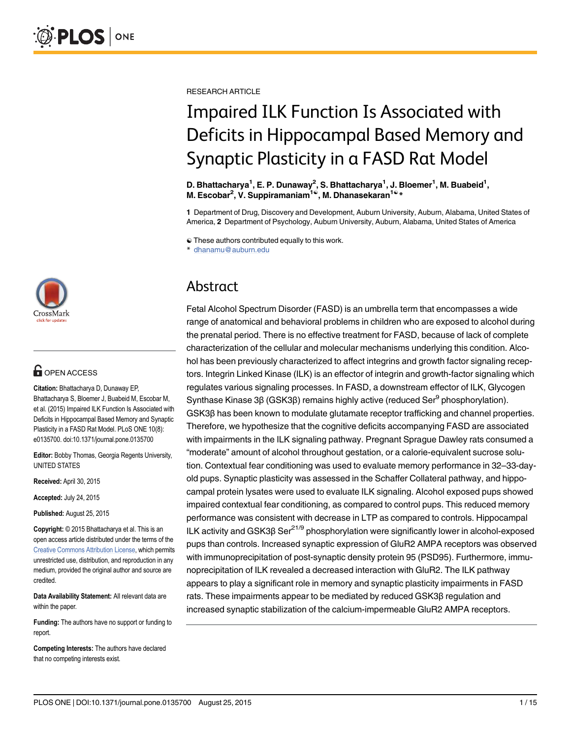

# **G** OPEN ACCESS

Citation: Bhattacharya D, Dunaway EP, Bhattacharya S, Bloemer J, Buabeid M, Escobar M, et al. (2015) Impaired ILK Function Is Associated with Deficits in Hippocampal Based Memory and Synaptic Plasticity in a FASD Rat Model. PLoS ONE 10(8): e0135700. doi:10.1371/journal.pone.0135700

Editor: Bobby Thomas, Georgia Regents University, UNITED STATES

Received: April 30, 2015

Accepted: July 24, 2015

Published: August 25, 2015

Copyright: © 2015 Bhattacharya et al. This is an open access article distributed under the terms of the Creative Commons Attribution License, which permits unrestricted use, distribution, and reproduction in any medium, provided the original author and source are credited.

Data Availability Statement: All relevant data are within the paper.

Funding: The authors have no support or funding to report.

Competing Interests: The authors have declared that no competing interests exist.

RESEARCH ARTICLE

# Impaired ILK Function Is Associated with Deficits in Hippocampal Based Memory and Synaptic Plasticity in a FASD Rat Model

D. Bhattacharya<sup>1</sup>, E. P. Dunaway<sup>2</sup>, S. Bhattacharya<sup>1</sup>, J. Bloemer<sup>1</sup>, M. Buabeid<sup>1</sup>, M. Escobar<sup>2</sup>, V. Suppiramaniam<sup>1©</sup>, M. Dhanasekaran<sup>1©</sup>\*

1 Department of Drug, Discovery and Development, Auburn University, Auburn, Alabama, United States of America, 2 Department of Psychology, Auburn University, Auburn, Alabama, United States of America

☯ These authors contributed equally to this work.

\* dhanamu@auburn.edu

# Abstract

Fetal Alcohol Spectrum Disorder (FASD) is an umbrella term that encompasses a wide range of anatomical and behavioral problems in children who are exposed to alcohol during the prenatal period. There is no effective treatment for FASD, because of lack of complete characterization of the cellular and molecular mechanisms underlying this condition. Alcohol has been previously characterized to affect integrins and growth factor signaling receptors. Integrin Linked Kinase (ILK) is an effector of integrin and growth-factor signaling which regulates various signaling processes. In FASD, a downstream effector of ILK, Glycogen Synthase Kinase 3β (GSK3β) remains highly active (reduced Ser<sup>9</sup> phosphorylation). GSK3β has been known to modulate glutamate receptor trafficking and channel properties. Therefore, we hypothesize that the cognitive deficits accompanying FASD are associated with impairments in the ILK signaling pathway. Pregnant Sprague Dawley rats consumed a "moderate" amount of alcohol throughout gestation, or a calorie-equivalent sucrose solution. Contextual fear conditioning was used to evaluate memory performance in 32–33-dayold pups. Synaptic plasticity was assessed in the Schaffer Collateral pathway, and hippocampal protein lysates were used to evaluate ILK signaling. Alcohol exposed pups showed impaired contextual fear conditioning, as compared to control pups. This reduced memory performance was consistent with decrease in LTP as compared to controls. Hippocampal ILK activity and GSK3β Ser<sup>21/9</sup> phosphorylation were significantly lower in alcohol-exposed pups than controls. Increased synaptic expression of GluR2 AMPA receptors was observed with immunoprecipitation of post-synaptic density protein 95 (PSD95). Furthermore, immunoprecipitation of ILK revealed a decreased interaction with GluR2. The ILK pathway appears to play a significant role in memory and synaptic plasticity impairments in FASD rats. These impairments appear to be mediated by reduced GSK3β regulation and increased synaptic stabilization of the calcium-impermeable GluR2 AMPA receptors.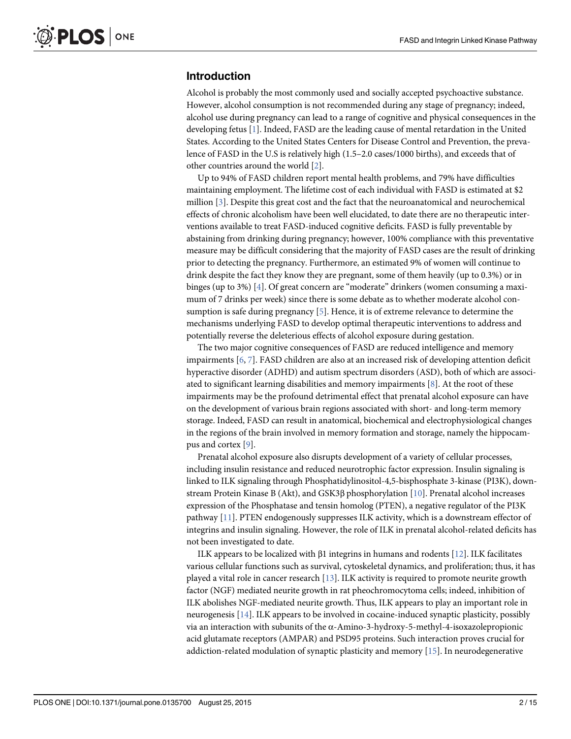#### Introduction

Alcohol is probably the most commonly used and socially accepted psychoactive substance. However, alcohol consumption is not recommended during any stage of pregnancy; indeed, alcohol use during pregnancy can lead to a range of cognitive and physical consequences in the developing fetus [1]. Indeed, FASD are the leading cause of mental retardation in the United States. According to the United States Centers for Disease Control and Prevention, the prevalence of FASD in the U.S is relatively high (1.5–2.0 cases/1000 births), and exceeds that of other countries around the world [2].

Up to 94% of FASD children report mental health problems, and 79% have difficulties maintaining employment. The lifetime cost of each individual with FASD is estimated at \$2 million [3]. Despite this great cost and the fact that the neuroanatomical and neurochemical effects of chronic alcoholism have been well elucidated, to date there are no therapeutic interventions available to treat FASD-induced cognitive deficits. FASD is fully preventable by abstaining from drinking during pregnancy; however, 100% compliance with this preventative measure may be difficult considering that the majority of FASD cases are the result of drinking prior to detecting the pregnancy. Furthermore, an estimated 9% of women will continue to drink despite the fact they know they are pregnant, some of them heavily (up to 0.3%) or in binges (up to 3%) [4]. Of great concern are "moderate" drinkers (women consuming a maximum of 7 drinks per week) since there is some debate as to whether moderate alcohol consumption is safe during pregnancy  $[5]$ . Hence, it is of extreme relevance to determine the mechanisms underlying FASD to develop optimal therapeutic interventions to address and potentially reverse the deleterious effects of alcohol exposure during gestation.

The two major cognitive consequences of FASD are reduced intelligence and memory impairments [6, 7]. FASD children are also at an increased risk of developing attention deficit hyperactive disorder (ADHD) and autism spectrum disorders (ASD), both of which are associated to significant learning disabilities and memory impairments  $[8]$ . At the root of these impairments may be the profound detrimental effect that prenatal alcohol exposure can have on the development of various brain regions associated with short- and long-term memory storage. Indeed, FASD can result in anatomical, biochemical and electrophysiological changes in the regions of the brain involved in memory formation and storage, namely the hippocampus and cortex [9].

Prenatal alcohol exposure also disrupts development of a variety of cellular processes, including insulin resistance and reduced neurotrophic factor expression. Insulin signaling is linked to ILK signaling through Phosphatidylinositol-4,5-bisphosphate 3-kinase (PI3K), downstream Protein Kinase B (Akt), and GSK3β phosphorylation [10]. Prenatal alcohol increases expression of the Phosphatase and tensin homolog (PTEN), a negative regulator of the PI3K pathway [11]. PTEN endogenously suppresses ILK activity, which is a downstream effector of integrins and insulin signaling. However, the role of ILK in prenatal alcohol-related deficits has not been investigated to date.

ILK appears to be localized with β1 integrins in humans and rodents [12]. ILK facilitates various cellular functions such as survival, cytoskeletal dynamics, and proliferation; thus, it has played a vital role in cancer research [13]. ILK activity is required to promote neurite growth factor (NGF) mediated neurite growth in rat pheochromocytoma cells; indeed, inhibition of ILK abolishes NGF-mediated neurite growth. Thus, ILK appears to play an important role in neurogenesis [14]. ILK appears to be involved in cocaine-induced synaptic plasticity, possibly via an interaction with subunits of the α-Amino-3-hydroxy-5-methyl-4-isoxazolepropionic acid glutamate receptors (AMPAR) and PSD95 proteins. Such interaction proves crucial for addiction-related modulation of synaptic plasticity and memory [15]. In neurodegenerative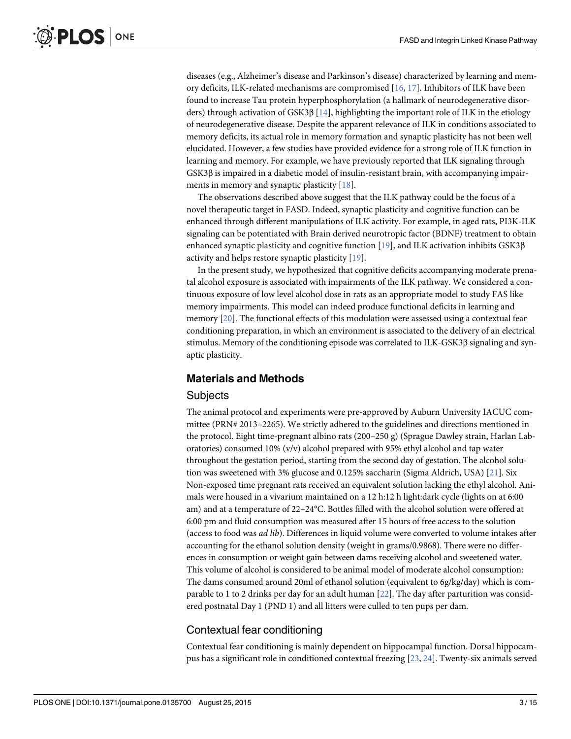diseases (e.g., Alzheimer's disease and Parkinson's disease) characterized by learning and memory deficits, ILK-related mechanisms are compromised [16, 17]. Inhibitors of ILK have been found to increase Tau protein hyperphosphorylation (a hallmark of neurodegenerative disorders) through activation of GSK3β [14], highlighting the important role of ILK in the etiology of neurodegenerative disease. Despite the apparent relevance of ILK in conditions associated to memory deficits, its actual role in memory formation and synaptic plasticity has not been well elucidated. However, a few studies have provided evidence for a strong role of ILK function in learning and memory. For example, we have previously reported that ILK signaling through GSK3β is impaired in a diabetic model of insulin-resistant brain, with accompanying impairments in memory and synaptic plasticity [18].

The observations described above suggest that the ILK pathway could be the focus of a novel therapeutic target in FASD. Indeed, synaptic plasticity and cognitive function can be enhanced through different manipulations of ILK activity. For example, in aged rats, PI3K-ILK signaling can be potentiated with Brain derived neurotropic factor (BDNF) treatment to obtain enhanced synaptic plasticity and cognitive function [19], and ILK activation inhibits GSK3β activity and helps restore synaptic plasticity [19].

In the present study, we hypothesized that cognitive deficits accompanying moderate prenatal alcohol exposure is associated with impairments of the ILK pathway. We considered a continuous exposure of low level alcohol dose in rats as an appropriate model to study FAS like memory impairments. This model can indeed produce functional deficits in learning and memory [20]. The functional effects of this modulation were assessed using a contextual fear conditioning preparation, in which an environment is associated to the delivery of an electrical stimulus. Memory of the conditioning episode was correlated to ILK-GSK3β signaling and synaptic plasticity.

#### Materials and Methods

#### **Subjects**

The animal protocol and experiments were pre-approved by Auburn University IACUC committee (PRN# 2013–2265). We strictly adhered to the guidelines and directions mentioned in the protocol. Eight time-pregnant albino rats (200–250 g) (Sprague Dawley strain, Harlan Laboratories) consumed 10% ( $v/v$ ) alcohol prepared with 95% ethyl alcohol and tap water throughout the gestation period, starting from the second day of gestation. The alcohol solution was sweetened with 3% glucose and 0.125% saccharin (Sigma Aldrich, USA) [21]. Six Non-exposed time pregnant rats received an equivalent solution lacking the ethyl alcohol. Animals were housed in a vivarium maintained on a 12 h:12 h light:dark cycle (lights on at 6:00 am) and at a temperature of 22–24°C. Bottles filled with the alcohol solution were offered at 6:00 pm and fluid consumption was measured after 15 hours of free access to the solution (access to food was ad lib). Differences in liquid volume were converted to volume intakes after accounting for the ethanol solution density (weight in grams/0.9868). There were no differences in consumption or weight gain between dams receiving alcohol and sweetened water. This volume of alcohol is considered to be animal model of moderate alcohol consumption: The dams consumed around 20ml of ethanol solution (equivalent to 6g/kg/day) which is comparable to 1 to 2 drinks per day for an adult human [22]. The day after parturition was considered postnatal Day 1 (PND 1) and all litters were culled to ten pups per dam.

#### Contextual fear conditioning

Contextual fear conditioning is mainly dependent on hippocampal function. Dorsal hippocampus has a significant role in conditioned contextual freezing [23, 24]. Twenty-six animals served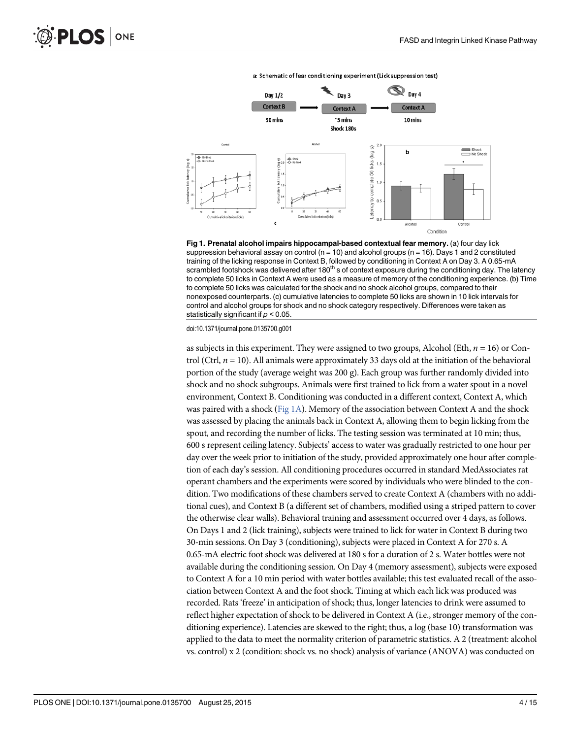a: Schematic of fear conditioning experiment (Lick suppression test)



Fig 1. Prenatal alcohol impairs hippocampal-based contextual fear memory. (a) four day lick suppression behavioral assay on control ( $n = 10$ ) and alcohol groups ( $n = 16$ ). Days 1 and 2 constituted training of the licking response in Context B, followed by conditioning in Context A on Day 3. A 0.65-mA scrambled footshock was delivered after 180<sup>th</sup> s of context exposure during the conditioning day. The latency to complete 50 licks in Context A were used as a measure of memory of the conditioning experience. (b) Time to complete 50 licks was calculated for the shock and no shock alcohol groups, compared to their nonexposed counterparts. (c) cumulative latencies to complete 50 licks are shown in 10 lick intervals for control and alcohol groups for shock and no shock category respectively. Differences were taken as statistically significant if  $p < 0.05$ .

doi:10.1371/journal.pone.0135700.g001

as subjects in this experiment. They were assigned to two groups, Alcohol (Eth,  $n = 16$ ) or Control (Ctrl,  $n = 10$ ). All animals were approximately 33 days old at the initiation of the behavioral portion of the study (average weight was 200 g). Each group was further randomly divided into shock and no shock subgroups. Animals were first trained to lick from a water spout in a novel environment, Context B. Conditioning was conducted in a different context, Context A, which was paired with a shock (Fig 1A). Memory of the association between Context A and the shock was assessed by placing the animals back in Context A, allowing them to begin licking from the spout, and recording the number of licks. The testing session was terminated at 10 min; thus, 600 s represent ceiling latency. Subjects' access to water was gradually restricted to one hour per day over the week prior to initiation of the study, provided approximately one hour after completion of each day's session. All conditioning procedures occurred in standard MedAssociates rat operant chambers and the experiments were scored by individuals who were blinded to the condition. Two modifications of these chambers served to create Context A (chambers with no additional cues), and Context B (a different set of chambers, modified using a striped pattern to cover the otherwise clear walls). Behavioral training and assessment occurred over 4 days, as follows. On Days 1 and 2 (lick training), subjects were trained to lick for water in Context B during two 30-min sessions. On Day 3 (conditioning), subjects were placed in Context A for 270 s. A 0.65-mA electric foot shock was delivered at 180 s for a duration of 2 s. Water bottles were not available during the conditioning session. On Day 4 (memory assessment), subjects were exposed to Context A for a 10 min period with water bottles available; this test evaluated recall of the association between Context A and the foot shock. Timing at which each lick was produced was recorded. Rats 'freeze' in anticipation of shock; thus, longer latencies to drink were assumed to reflect higher expectation of shock to be delivered in Context A (i.e., stronger memory of the conditioning experience). Latencies are skewed to the right; thus, a log (base 10) transformation was applied to the data to meet the normality criterion of parametric statistics. A 2 (treatment: alcohol vs. control) x 2 (condition: shock vs. no shock) analysis of variance (ANOVA) was conducted on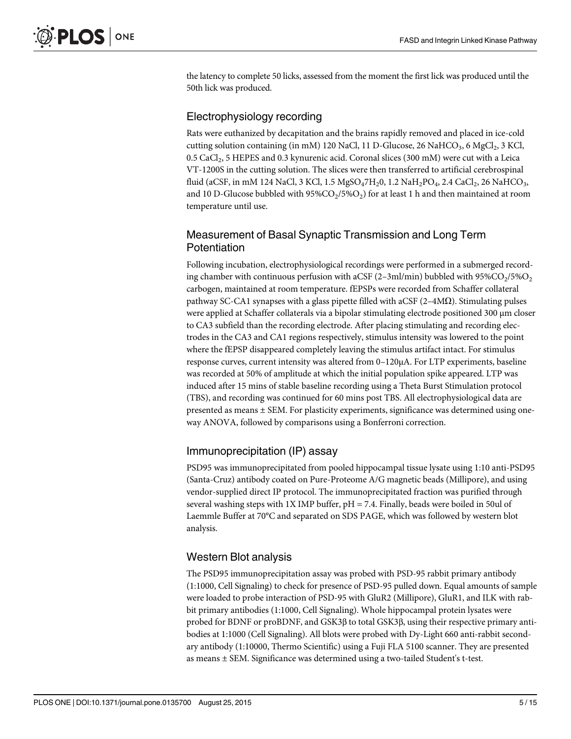the latency to complete 50 licks, assessed from the moment the first lick was produced until the 50th lick was produced.

#### Electrophysiology recording

Rats were euthanized by decapitation and the brains rapidly removed and placed in ice-cold cutting solution containing (in mM) 120 NaCl, 11 D-Glucose, 26 NaHCO<sub>3</sub>, 6 MgCl<sub>2</sub>, 3 KCl,  $0.5$  CaCl $_2$ , 5 HEPES and 0.3 kynurenic acid. Coronal slices (300 mM) were cut with a Leica VT-1200S in the cutting solution. The slices were then transferred to artificial cerebrospinal fluid (aCSF, in mM 124 NaCl, 3 KCl, 1.5  $\rm{MgSO_47H_2}$ 0, 1.2 Na $\rm{H_2PO_4}$ , 2.4 CaCl $_2$ , 26 NaHCO $_3$ , and 10 D-Glucose bubbled with 95% $\rm CO_2$ /5% $\rm O_2$ ) for at least 1 h and then maintained at room temperature until use.

# Measurement of Basal Synaptic Transmission and Long Term Potentiation

Following incubation, electrophysiological recordings were performed in a submerged recording chamber with continuous perfusion with aCSF (2–3ml/min) bubbled with  $95\%CO_{2}/5\%O_{2}$ carbogen, maintained at room temperature. fEPSPs were recorded from Schaffer collateral pathway SC-CA1 synapses with a glass pipette filled with aCSF  $(2-4M\Omega)$ . Stimulating pulses were applied at Schaffer collaterals via a bipolar stimulating electrode positioned 300 μm closer to CA3 subfield than the recording electrode. After placing stimulating and recording electrodes in the CA3 and CA1 regions respectively, stimulus intensity was lowered to the point where the fEPSP disappeared completely leaving the stimulus artifact intact. For stimulus response curves, current intensity was altered from 0–120μA. For LTP experiments, baseline was recorded at 50% of amplitude at which the initial population spike appeared. LTP was induced after 15 mins of stable baseline recording using a Theta Burst Stimulation protocol (TBS), and recording was continued for 60 mins post TBS. All electrophysiological data are presented as means  $\pm$  SEM. For plasticity experiments, significance was determined using oneway ANOVA, followed by comparisons using a Bonferroni correction.

## Immunoprecipitation (IP) assay

PSD95 was immunoprecipitated from pooled hippocampal tissue lysate using 1:10 anti-PSD95 (Santa-Cruz) antibody coated on Pure-Proteome A/G magnetic beads (Millipore), and using vendor-supplied direct IP protocol. The immunoprecipitated fraction was purified through several washing steps with  $1X$  IMP buffer,  $pH = 7.4$ . Finally, beads were boiled in 50ul of Laemmle Buffer at 70°C and separated on SDS PAGE, which was followed by western blot analysis.

## Western Blot analysis

The PSD95 immunoprecipitation assay was probed with PSD-95 rabbit primary antibody (1:1000, Cell Signaling) to check for presence of PSD-95 pulled down. Equal amounts of sample were loaded to probe interaction of PSD-95 with GluR2 (Millipore), GluR1, and ILK with rabbit primary antibodies (1:1000, Cell Signaling). Whole hippocampal protein lysates were probed for BDNF or proBDNF, and GSK3β to total GSK3β, using their respective primary antibodies at 1:1000 (Cell Signaling). All blots were probed with Dy-Light 660 anti-rabbit secondary antibody (1:10000, Thermo Scientific) using a Fuji FLA 5100 scanner. They are presented as means ± SEM. Significance was determined using a two-tailed Student's t-test.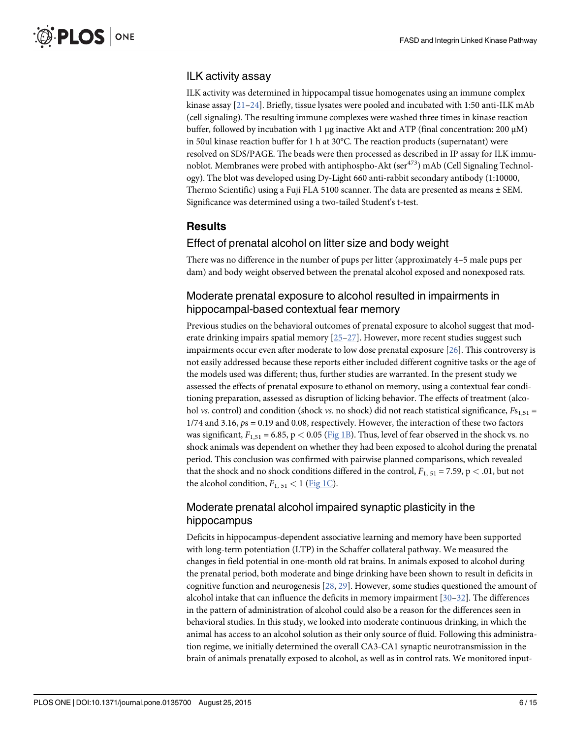#### ILK activity assay

ILK activity was determined in hippocampal tissue homogenates using an immune complex kinase assay  $[21-24]$ . Briefly, tissue lysates were pooled and incubated with 1:50 anti-ILK mAb (cell signaling). The resulting immune complexes were washed three times in kinase reaction buffer, followed by incubation with 1 μg inactive Akt and ATP (final concentration: 200  $\mu$ M) in 50ul kinase reaction buffer for 1 h at 30°C. The reaction products (supernatant) were resolved on SDS/PAGE. The beads were then processed as described in IP assay for ILK immunoblot. Membranes were probed with antiphospho-Akt (ser<sup>473</sup>) mAb (Cell Signaling Technology). The blot was developed using Dy-Light 660 anti-rabbit secondary antibody (1:10000, Thermo Scientific) using a Fuji FLA 5100 scanner. The data are presented as means  $\pm$  SEM. Significance was determined using a two-tailed Student's t-test.

# **Results**

#### Effect of prenatal alcohol on litter size and body weight

There was no difference in the number of pups per litter (approximately 4–5 male pups per dam) and body weight observed between the prenatal alcohol exposed and nonexposed rats.

#### Moderate prenatal exposure to alcohol resulted in impairments in hippocampal-based contextual fear memory

Previous studies on the behavioral outcomes of prenatal exposure to alcohol suggest that moderate drinking impairs spatial memory  $[25-27]$ . However, more recent studies suggest such impairments occur even after moderate to low dose prenatal exposure [26]. This controversy is not easily addressed because these reports either included different cognitive tasks or the age of the models used was different; thus, further studies are warranted. In the present study we assessed the effects of prenatal exposure to ethanol on memory, using a contextual fear conditioning preparation, assessed as disruption of licking behavior. The effects of treatment (alcohol vs. control) and condition (shock vs. no shock) did not reach statistical significance,  $F_{51,51}$  = 1/74 and 3.16, ps = 0.19 and 0.08, respectively. However, the interaction of these two factors was significant,  $F_{1,51} = 6.85$ , p < 0.05 (Fig 1B). Thus, level of fear observed in the shock vs. no shock animals was dependent on whether they had been exposed to alcohol during the prenatal period. This conclusion was confirmed with pairwise planned comparisons, which revealed that the shock and no shock conditions differed in the control,  $F_{1, 51} = 7.59$ ,  $p < .01$ , but not the alcohol condition,  $F_{1, 51} < 1$  (Fig 1C).

#### Moderate prenatal alcohol impaired synaptic plasticity in the hippocampus

Deficits in hippocampus-dependent associative learning and memory have been supported with long-term potentiation (LTP) in the Schaffer collateral pathway. We measured the changes in field potential in one-month old rat brains. In animals exposed to alcohol during the prenatal period, both moderate and binge drinking have been shown to result in deficits in cognitive function and neurogenesis  $[28, 29]$ . However, some studies questioned the amount of alcohol intake that can influence the deficits in memory impairment [30–32]. The differences in the pattern of administration of alcohol could also be a reason for the differences seen in behavioral studies. In this study, we looked into moderate continuous drinking, in which the animal has access to an alcohol solution as their only source of fluid. Following this administration regime, we initially determined the overall CA3-CA1 synaptic neurotransmission in the brain of animals prenatally exposed to alcohol, as well as in control rats. We monitored input-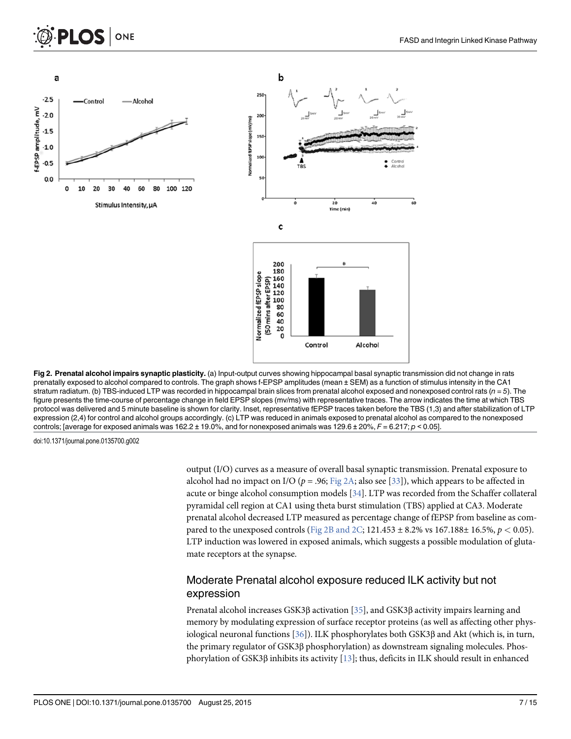

Fig 2. Prenatal alcohol impairs synaptic plasticity. (a) Input-output curves showing hippocampal basal synaptic transmission did not change in rats prenatally exposed to alcohol compared to controls. The graph shows f-EPSP amplitudes (mean ± SEM) as a function of stimulus intensity in the CA1 stratum radiatum. (b) TBS-induced LTP was recorded in hippocampal brain slices from prenatal alcohol exposed and nonexposed control rats ( $n=5$ ). The figure presents the time-course of percentage change in field EPSP slopes (mv/ms) with representative traces. The arrow indicates the time at which TBS protocol was delivered and 5 minute baseline is shown for clarity. Inset, representative fEPSP traces taken before the TBS (1,3) and after stabilization of LTP expression (2,4) for control and alcohol groups accordingly. (c) LTP was reduced in animals exposed to prenatal alcohol as compared to the nonexposed controls; [average for exposed animals was 162.2 ± 19.0%, and for nonexposed animals was 129.6 ± 20%,  $F = 6.217$ ;  $p < 0.05$ ].

doi:10.1371/journal.pone.0135700.g002

output (I/O) curves as a measure of overall basal synaptic transmission. Prenatal exposure to alcohol had no impact on I/O ( $p = .96$ ; Fig 2A; also see [33]), which appears to be affected in acute or binge alcohol consumption models [34]. LTP was recorded from the Schaffer collateral pyramidal cell region at CA1 using theta burst stimulation (TBS) applied at CA3. Moderate prenatal alcohol decreased LTP measured as percentage change of fEPSP from baseline as compared to the unexposed controls (Fig 2B and 2C; 121.453  $\pm$  8.2% vs 167.188 $\pm$  16.5%,  $p < 0.05$ ). LTP induction was lowered in exposed animals, which suggests a possible modulation of glutamate receptors at the synapse.

#### Moderate Prenatal alcohol exposure reduced ILK activity but not expression

Prenatal alcohol increases GSK3β activation [35], and GSK3β activity impairs learning and memory by modulating expression of surface receptor proteins (as well as affecting other physiological neuronal functions [36]). ILK phosphorylates both GSK3β and Akt (which is, in turn, the primary regulator of GSK3β phosphorylation) as downstream signaling molecules. Phosphorylation of GSK3β inhibits its activity [13]; thus, deficits in ILK should result in enhanced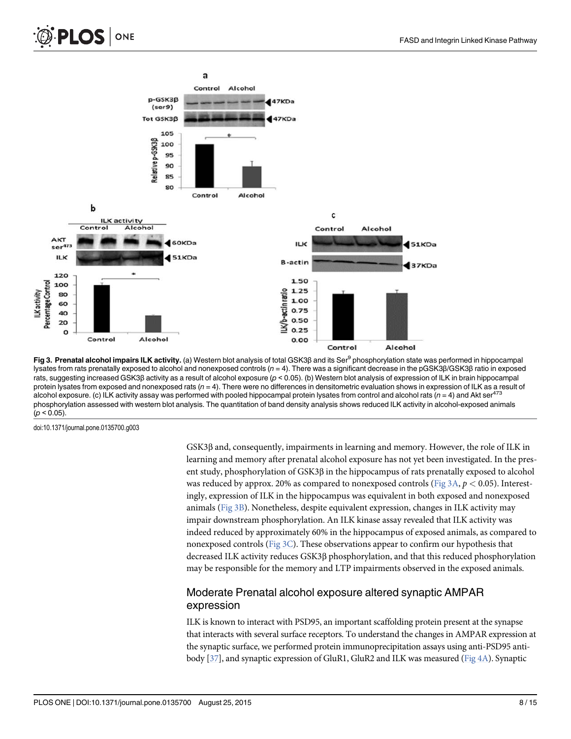



Fig 3. Prenatal alcohol impairs ILK activity. (a) Western blot analysis of total GSK3β and its Ser<sup>9</sup> phosphorylation state was performed in hippocampal lysates from rats prenatally exposed to alcohol and nonexposed controls ( $n = 4$ ). There was a significant decrease in the pGSK3β/GSK3β ratio in exposed rats, suggesting increased GSK3β activity as a result of alcohol exposure (p < 0.05). (b) Western blot analysis of expression of ILK in brain hippocampal protein lysates from exposed and nonexposed rats  $(n = 4)$ . There were no differences in densitometric evaluation shows in expression of ILK as a result of alcohol exposure. (c) ILK activity assay was performed with pooled hippocampal protein lysates from control and alcohol rats ( $n = 4$ ) and Akt ser<sup>473</sup> phosphorylation assessed with western blot analysis. The quantitation of band density analysis shows reduced ILK activity in alcohol-exposed animals  $(p < 0.05)$ .

doi:10.1371/journal.pone.0135700.g003

GSK3β and, consequently, impairments in learning and memory. However, the role of ILK in learning and memory after prenatal alcohol exposure has not yet been investigated. In the present study, phosphorylation of GSK3β in the hippocampus of rats prenatally exposed to alcohol was reduced by approx. 20% as compared to nonexposed controls (Fig 3A,  $p < 0.05$ ). Interestingly, expression of ILK in the hippocampus was equivalent in both exposed and nonexposed animals (Fig 3B). Nonetheless, despite equivalent expression, changes in ILK activity may impair downstream phosphorylation. An ILK kinase assay revealed that ILK activity was indeed reduced by approximately 60% in the hippocampus of exposed animals, as compared to nonexposed controls (Fig  $3C$ ). These observations appear to confirm our hypothesis that decreased ILK activity reduces GSK3β phosphorylation, and that this reduced phosphorylation may be responsible for the memory and LTP impairments observed in the exposed animals.

#### Moderate Prenatal alcohol exposure altered synaptic AMPAR expression

ILK is known to interact with PSD95, an important scaffolding protein present at the synapse that interacts with several surface receptors. To understand the changes in AMPAR expression at the synaptic surface, we performed protein immunoprecipitation assays using anti-PSD95 antibody [37], and synaptic expression of GluR1, GluR2 and ILK was measured (Fig 4A). Synaptic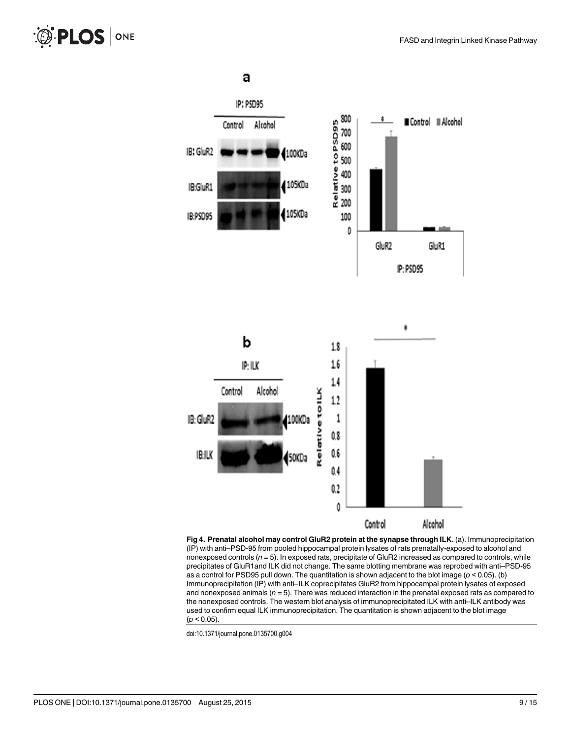a



Fig 4. Prenatal alcohol may control GluR2 protein at the synapse through ILK. (a). Immunoprecipitation (IP) with anti–PSD-95 from pooled hippocampal protein lysates of rats prenatally-exposed to alcohol and nonexposed controls ( $n = 5$ ). In exposed rats, precipitate of GluR2 increased as compared to controls, while precipitates of GluR1and ILK did not change. The same blotting membrane was reprobed with anti–PSD-95 as a control for PSD95 pull down. The quantitation is shown adjacent to the blot image ( $p < 0.05$ ). (b) Immunoprecipitation (IP) with anti–ILK coprecipitates GluR2 from hippocampal protein lysates of exposed and nonexposed animals  $(n = 5)$ . There was reduced interaction in the prenatal exposed rats as compared to the nonexposed controls. The western blot analysis of immunoprecipitated ILK with anti–ILK antibody was used to confirm equal ILK immunoprecipitation. The quantitation is shown adjacent to the blot image  $(p < 0.05)$ .

doi:10.1371/journal.pone.0135700.g004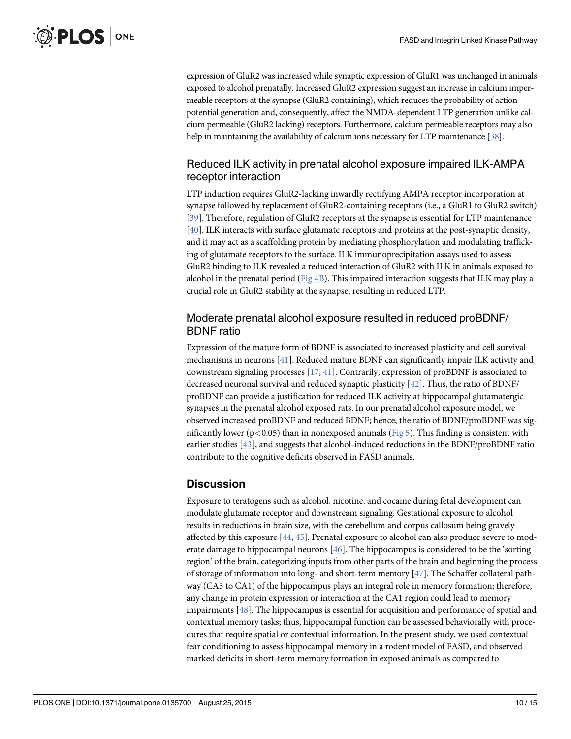expression of GluR2 was increased while synaptic expression of GluR1 was unchanged in animals exposed to alcohol prenatally. Increased GluR2 expression suggest an increase in calcium impermeable receptors at the synapse (GluR2 containing), which reduces the probability of action potential generation and, consequently, affect the NMDA-dependent LTP generation unlike calcium permeable (GluR2 lacking) receptors. Furthermore, calcium permeable receptors may also help in maintaining the availability of calcium ions necessary for LTP maintenance [38].

#### Reduced ILK activity in prenatal alcohol exposure impaired ILK-AMPA receptor interaction

LTP induction requires GluR2-lacking inwardly rectifying AMPA receptor incorporation at synapse followed by replacement of GluR2-containing receptors (i.e., a GluR1 to GluR2 switch) [39]. Therefore, regulation of GluR2 receptors at the synapse is essential for LTP maintenance [40]. ILK interacts with surface glutamate receptors and proteins at the post-synaptic density, and it may act as a scaffolding protein by mediating phosphorylation and modulating trafficking of glutamate receptors to the surface. ILK immunoprecipitation assays used to assess GluR2 binding to ILK revealed a reduced interaction of GluR2 with ILK in animals exposed to alcohol in the prenatal period (Fig 4B). This impaired interaction suggests that ILK may play a crucial role in GluR2 stability at the synapse, resulting in reduced LTP.

#### Moderate prenatal alcohol exposure resulted in reduced proBDNF/ BDNF ratio

Expression of the mature form of BDNF is associated to increased plasticity and cell survival mechanisms in neurons  $[41]$ . Reduced mature BDNF can significantly impair ILK activity and downstream signaling processes [17, 41]. Contrarily, expression of proBDNF is associated to decreased neuronal survival and reduced synaptic plasticity [42]. Thus, the ratio of BDNF/ proBDNF can provide a justification for reduced ILK activity at hippocampal glutamatergic synapses in the prenatal alcohol exposed rats. In our prenatal alcohol exposure model, we observed increased proBDNF and reduced BDNF; hence, the ratio of BDNF/proBDNF was significantly lower ( $p < 0.05$ ) than in nonexposed animals (Fig 5). This finding is consistent with earlier studies [43], and suggests that alcohol-induced reductions in the BDNF/proBDNF ratio contribute to the cognitive deficits observed in FASD animals.

## **Discussion**

Exposure to teratogens such as alcohol, nicotine, and cocaine during fetal development can modulate glutamate receptor and downstream signaling. Gestational exposure to alcohol results in reductions in brain size, with the cerebellum and corpus callosum being gravely affected by this exposure [44, 45]. Prenatal exposure to alcohol can also produce severe to moderate damage to hippocampal neurons  $[46]$ . The hippocampus is considered to be the 'sorting region' of the brain, categorizing inputs from other parts of the brain and beginning the process of storage of information into long- and short-term memory [47]. The Schaffer collateral pathway (CA3 to CA1) of the hippocampus plays an integral role in memory formation; therefore, any change in protein expression or interaction at the CA1 region could lead to memory impairments [48]. The hippocampus is essential for acquisition and performance of spatial and contextual memory tasks; thus, hippocampal function can be assessed behaviorally with procedures that require spatial or contextual information. In the present study, we used contextual fear conditioning to assess hippocampal memory in a rodent model of FASD, and observed marked deficits in short-term memory formation in exposed animals as compared to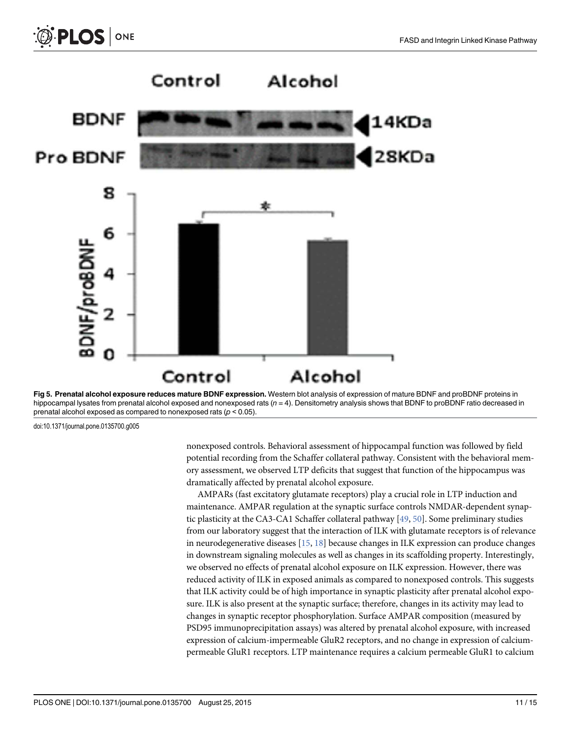



doi:10.1371/journal.pone.0135700.g005

nonexposed controls. Behavioral assessment of hippocampal function was followed by field potential recording from the Schaffer collateral pathway. Consistent with the behavioral memory assessment, we observed LTP deficits that suggest that function of the hippocampus was dramatically affected by prenatal alcohol exposure.

AMPARs (fast excitatory glutamate receptors) play a crucial role in LTP induction and maintenance. AMPAR regulation at the synaptic surface controls NMDAR-dependent synaptic plasticity at the CA3-CA1 Schaffer collateral pathway [49, 50]. Some preliminary studies from our laboratory suggest that the interaction of ILK with glutamate receptors is of relevance in neurodegenerative diseases [15, 18] because changes in ILK expression can produce changes in downstream signaling molecules as well as changes in its scaffolding property. Interestingly, we observed no effects of prenatal alcohol exposure on ILK expression. However, there was reduced activity of ILK in exposed animals as compared to nonexposed controls. This suggests that ILK activity could be of high importance in synaptic plasticity after prenatal alcohol exposure. ILK is also present at the synaptic surface; therefore, changes in its activity may lead to changes in synaptic receptor phosphorylation. Surface AMPAR composition (measured by PSD95 immunoprecipitation assays) was altered by prenatal alcohol exposure, with increased expression of calcium-impermeable GluR2 receptors, and no change in expression of calciumpermeable GluR1 receptors. LTP maintenance requires a calcium permeable GluR1 to calcium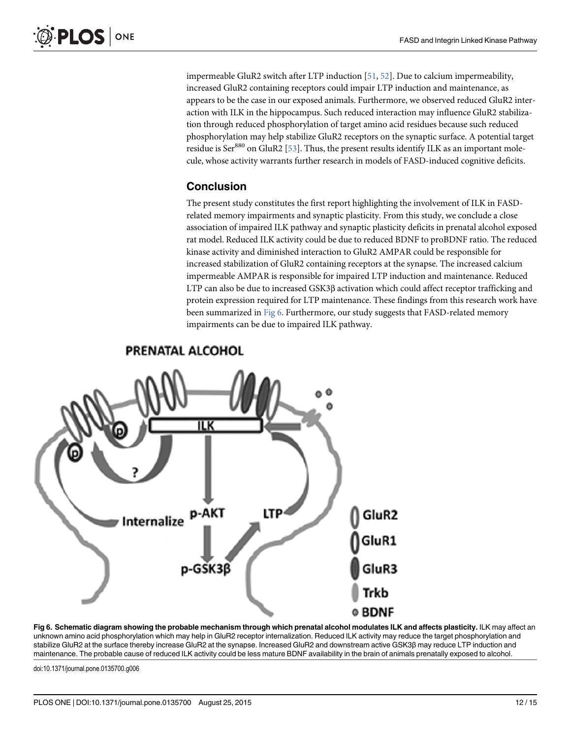impermeable GluR2 switch after LTP induction [51, 52]. Due to calcium impermeability, increased GluR2 containing receptors could impair LTP induction and maintenance, as appears to be the case in our exposed animals. Furthermore, we observed reduced GluR2 interaction with ILK in the hippocampus. Such reduced interaction may influence GluR2 stabilization through reduced phosphorylation of target amino acid residues because such reduced phosphorylation may help stabilize GluR2 receptors on the synaptic surface. A potential target residue is Ser $^{880}$  on GluR2 [53]. Thus, the present results identify ILK as an important molecule, whose activity warrants further research in models of FASD-induced cognitive deficits.

# Conclusion

The present study constitutes the first report highlighting the involvement of ILK in FASDrelated memory impairments and synaptic plasticity. From this study, we conclude a close association of impaired ILK pathway and synaptic plasticity deficits in prenatal alcohol exposed rat model. Reduced ILK activity could be due to reduced BDNF to proBDNF ratio. The reduced kinase activity and diminished interaction to GluR2 AMPAR could be responsible for increased stabilization of GluR2 containing receptors at the synapse. The increased calcium impermeable AMPAR is responsible for impaired LTP induction and maintenance. Reduced LTP can also be due to increased GSK3β activation which could affect receptor trafficking and protein expression required for LTP maintenance. These findings from this research work have been summarized in Fig 6. Furthermore, our study suggests that FASD-related memory impairments can be due to impaired ILK pathway.



# PRENATAL ALCOHOL

Fig 6. Schematic diagram showing the probable mechanism through which prenatal alcohol modulates ILK and affects plasticity. ILK may affect an unknown amino acid phosphorylation which may help in GluR2 receptor internalization. Reduced ILK activity may reduce the target phosphorylation and stabilize GluR2 at the surface thereby increase GluR2 at the synapse. Increased GluR2 and downstream active GSK3β may reduce LTP induction and maintenance. The probable cause of reduced ILK activity could be less mature BDNF availability in the brain of animals prenatally exposed to alcohol.

doi:10.1371/journal.pone.0135700.g006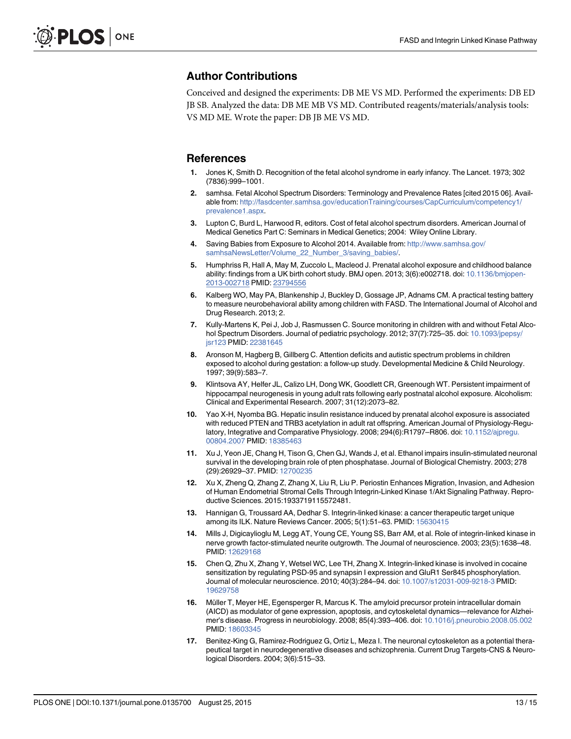#### Author Contributions

Conceived and designed the experiments: DB ME VS MD. Performed the experiments: DB ED JB SB. Analyzed the data: DB ME MB VS MD. Contributed reagents/materials/analysis tools: VS MD ME. Wrote the paper: DB JB ME VS MD.

#### **References**

- 1. Jones K, Smith D. Recognition of the fetal alcohol syndrome in early infancy. The Lancet. 1973; 302 (7836):999–1001.
- 2. samhsa. Fetal Alcohol Spectrum Disorders: Terminology and Prevalence Rates [cited 2015 06]. Available from: http://fasdcenter.samhsa.gov/educationTraining/courses/CapCurriculum/competency1/ prevalence1.aspx.
- 3. Lupton C, Burd L, Harwood R, editors. Cost of fetal alcohol spectrum disorders. American Journal of Medical Genetics Part C: Seminars in Medical Genetics; 2004: Wiley Online Library.
- 4. Saving Babies from Exposure to Alcohol 2014. Available from: http://www.samhsa.gov/ samhsaNewsLetter/Volume\_22\_Number\_3/saving\_babies/.
- 5. Humphriss R, Hall A, May M, Zuccolo L, Macleod J. Prenatal alcohol exposure and childhood balance ability: findings from a UK birth cohort study. BMJ open. 2013; 3(6):e002718. doi: 10.1136/bmjopen-2013-002718 PMID: 23794556
- 6. Kalberg WO, May PA, Blankenship J, Buckley D, Gossage JP, Adnams CM. A practical testing battery to measure neurobehavioral ability among children with FASD. The International Journal of Alcohol and Drug Research. 2013; 2.
- 7. Kully-Martens K, Pei J, Job J, Rasmussen C. Source monitoring in children with and without Fetal Alcohol Spectrum Disorders. Journal of pediatric psychology. 2012; 37(7):725-35. doi: 10.1093/jpepsy/ jsr123 PMID: 22381645
- 8. Aronson M, Hagberg B, Gillberg C. Attention deficits and autistic spectrum problems in children exposed to alcohol during gestation: a follow-up study. Developmental Medicine & Child Neurology. 1997; 39(9):583–7.
- 9. Klintsova AY, Helfer JL, Calizo LH, Dong WK, Goodlett CR, Greenough WT. Persistent impairment of hippocampal neurogenesis in young adult rats following early postnatal alcohol exposure. Alcoholism: Clinical and Experimental Research. 2007; 31(12):2073–82.
- 10. Yao X-H, Nyomba BG. Hepatic insulin resistance induced by prenatal alcohol exposure is associated with reduced PTEN and TRB3 acetylation in adult rat offspring. American Journal of Physiology-Regulatory, Integrative and Comparative Physiology. 2008; 294(6):R1797-R806. doi: 10.1152/ajpregu. 00804.2007 PMID: 18385463
- 11. Xu J, Yeon JE, Chang H, Tison G, Chen GJ, Wands J, et al. Ethanol impairs insulin-stimulated neuronal survival in the developing brain role of pten phosphatase. Journal of Biological Chemistry. 2003; 278 (29):26929–37. PMID: 12700235
- 12. Xu X, Zheng Q, Zhang Z, Zhang X, Liu R, Liu P. Periostin Enhances Migration, Invasion, and Adhesion of Human Endometrial Stromal Cells Through Integrin-Linked Kinase 1/Akt Signaling Pathway. Reproductive Sciences. 2015:1933719115572481.
- 13. Hannigan G, Troussard AA, Dedhar S. Integrin-linked kinase: a cancer therapeutic target unique among its ILK. Nature Reviews Cancer. 2005; 5(1):51–63. PMID: 15630415
- 14. Mills J, Digicaylioglu M, Legg AT, Young CE, Young SS, Barr AM, et al. Role of integrin-linked kinase in nerve growth factor-stimulated neurite outgrowth. The Journal of neuroscience. 2003; 23(5):1638–48. PMID: 12629168
- 15. Chen Q, Zhu X, Zhang Y, Wetsel WC, Lee TH, Zhang X. Integrin-linked kinase is involved in cocaine sensitization by regulating PSD-95 and synapsin I expression and GluR1 Ser845 phosphorylation. Journal of molecular neuroscience. 2010; 40(3):284–94. doi: 10.1007/s12031-009-9218-3 PMID: 19629758
- 16. Müller T, Meyer HE, Egensperger R, Marcus K. The amyloid precursor protein intracellular domain (AICD) as modulator of gene expression, apoptosis, and cytoskeletal dynamics—relevance for Alzheimer's disease. Progress in neurobiology. 2008; 85(4):393–406. doi: 10.1016/j.pneurobio.2008.05.002 PMID: 18603345
- 17. Benitez-King G, Ramirez-Rodriguez G, Ortiz L, Meza I. The neuronal cytoskeleton as a potential therapeutical target in neurodegenerative diseases and schizophrenia. Current Drug Targets-CNS & Neurological Disorders. 2004; 3(6):515–33.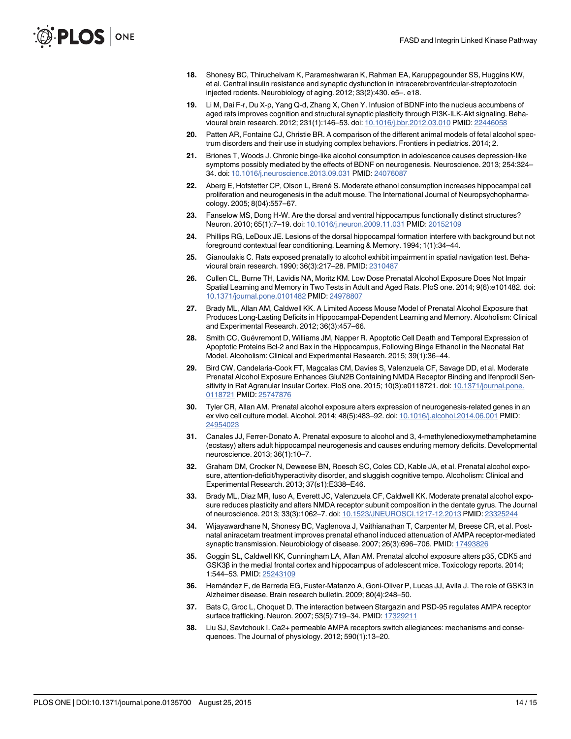- 18. Shonesy BC, Thiruchelvam K, Parameshwaran K, Rahman EA, Karuppagounder SS, Huggins KW, et al. Central insulin resistance and synaptic dysfunction in intracerebroventricular-streptozotocin injected rodents. Neurobiology of aging. 2012; 33(2):430. e5–. e18.
- 19. Li M, Dai F-r, Du X-p, Yang Q-d, Zhang X, Chen Y. Infusion of BDNF into the nucleus accumbens of aged rats improves cognition and structural synaptic plasticity through PI3K-ILK-Akt signaling. Behavioural brain research. 2012; 231(1):146–53. doi: 10.1016/j.bbr.2012.03.010 PMID: 22446058
- 20. Patten AR, Fontaine CJ, Christie BR. A comparison of the different animal models of fetal alcohol spectrum disorders and their use in studying complex behaviors. Frontiers in pediatrics. 2014; 2.
- 21. Briones T, Woods J. Chronic binge-like alcohol consumption in adolescence causes depression-like symptoms possibly mediated by the effects of BDNF on neurogenesis. Neuroscience. 2013; 254:324– 34. doi: 10.1016/j.neuroscience.2013.09.031 PMID: 24076087
- 22. Åberg E, Hofstetter CP, Olson L, Brené S. Moderate ethanol consumption increases hippocampal cell proliferation and neurogenesis in the adult mouse. The International Journal of Neuropsychopharmacology. 2005; 8(04):557–67.
- 23. Fanselow MS, Dong H-W. Are the dorsal and ventral hippocampus functionally distinct structures? Neuron. 2010; 65(1):7–19. doi: 10.1016/j.neuron.2009.11.031 PMID: 20152109
- 24. Phillips RG, LeDoux JE. Lesions of the dorsal hippocampal formation interfere with background but not foreground contextual fear conditioning. Learning & Memory. 1994; 1(1):34–44.
- 25. Gianoulakis C. Rats exposed prenatally to alcohol exhibit impairment in spatial navigation test. Behavioural brain research. 1990; 36(3):217–28. PMID: 2310487
- 26. Cullen CL, Burne TH, Lavidis NA, Moritz KM. Low Dose Prenatal Alcohol Exposure Does Not Impair Spatial Learning and Memory in Two Tests in Adult and Aged Rats. PloS one. 2014; 9(6):e101482. doi: 10.1371/journal.pone.0101482 PMID: 24978807
- 27. Brady ML, Allan AM, Caldwell KK. A Limited Access Mouse Model of Prenatal Alcohol Exposure that Produces Long‐Lasting Deficits in Hippocampal‐Dependent Learning and Memory. Alcoholism: Clinical and Experimental Research. 2012; 36(3):457–66.
- 28. Smith CC, Guévremont D, Williams JM, Napper R. Apoptotic Cell Death and Temporal Expression of Apoptotic Proteins Bcl‐2 and Bax in the Hippocampus, Following Binge Ethanol in the Neonatal Rat Model. Alcoholism: Clinical and Experimental Research. 2015; 39(1):36–44.
- 29. Bird CW, Candelaria-Cook FT, Magcalas CM, Davies S, Valenzuela CF, Savage DD, et al. Moderate Prenatal Alcohol Exposure Enhances GluN2B Containing NMDA Receptor Binding and Ifenprodil Sensitivity in Rat Agranular Insular Cortex. PloS one. 2015; 10(3):e0118721. doi: 10.1371/journal.pone. 0118721 PMID: 25747876
- 30. Tyler CR, Allan AM. Prenatal alcohol exposure alters expression of neurogenesis-related genes in an ex vivo cell culture model. Alcohol. 2014; 48(5):483–92. doi: 10.1016/j.alcohol.2014.06.001 PMID: 24954023
- 31. Canales JJ, Ferrer-Donato A. Prenatal exposure to alcohol and 3, 4-methylenedioxymethamphetamine (ecstasy) alters adult hippocampal neurogenesis and causes enduring memory deficits. Developmental neuroscience. 2013; 36(1):10–7.
- 32. Graham DM, Crocker N, Deweese BN, Roesch SC, Coles CD, Kable JA, et al. Prenatal alcohol exposure, attention‐deficit/hyperactivity disorder, and sluggish cognitive tempo. Alcoholism: Clinical and Experimental Research. 2013; 37(s1):E338–E46.
- 33. Brady ML, Diaz MR, Iuso A, Everett JC, Valenzuela CF, Caldwell KK. Moderate prenatal alcohol exposure reduces plasticity and alters NMDA receptor subunit composition in the dentate gyrus. The Journal of neuroscience. 2013; 33(3):1062–7. doi: 10.1523/JNEUROSCI.1217-12.2013 PMID: 23325244
- 34. Wijayawardhane N, Shonesy BC, Vaglenova J, Vaithianathan T, Carpenter M, Breese CR, et al. Postnatal aniracetam treatment improves prenatal ethanol induced attenuation of AMPA receptor-mediated synaptic transmission. Neurobiology of disease. 2007; 26(3):696–706. PMID: 17493826
- 35. Goggin SL, Caldwell KK, Cunningham LA, Allan AM. Prenatal alcohol exposure alters p35, CDK5 and GSK3β in the medial frontal cortex and hippocampus of adolescent mice. Toxicology reports. 2014; 1:544–53. PMID: 25243109
- 36. Hernández F, de Barreda EG, Fuster-Matanzo A, Goni-Oliver P, Lucas JJ, Avila J. The role of GSK3 in Alzheimer disease. Brain research bulletin. 2009; 80(4):248–50.
- 37. Bats C, Groc L, Choquet D. The interaction between Stargazin and PSD-95 regulates AMPA receptor surface trafficking. Neuron. 2007; 53(5):719-34. PMID: 17329211
- 38. Liu SJ, Savtchouk I. Ca2+ permeable AMPA receptors switch allegiances: mechanisms and consequences. The Journal of physiology. 2012; 590(1):13–20.